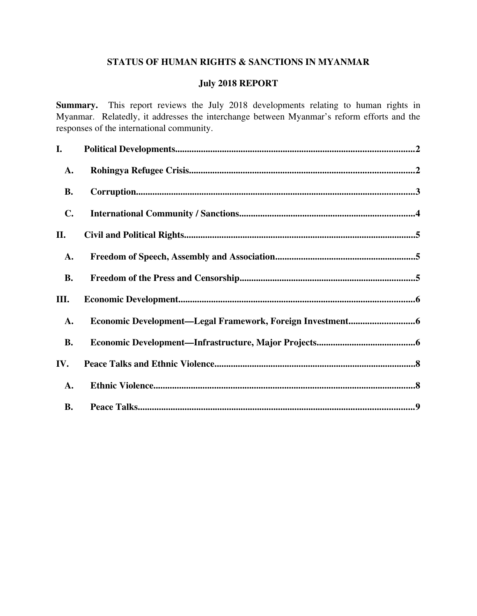# STATUS OF HUMAN RIGHTS & SANCTIONS IN MYANMAR

# July 2018 REPORT

Summary. This report reviews the July 2018 developments relating to human rights in Myanmar. Relatedly, it addresses the interchange between Myanmar's reform efforts and the responses of the international community.

| I.             |  |
|----------------|--|
| A.             |  |
| <b>B.</b>      |  |
| $\mathbf{C}$ . |  |
| II.            |  |
| A.             |  |
| <b>B.</b>      |  |
| Ш.             |  |
| A.             |  |
| <b>B.</b>      |  |
| IV.            |  |
| A.             |  |
| <b>B.</b>      |  |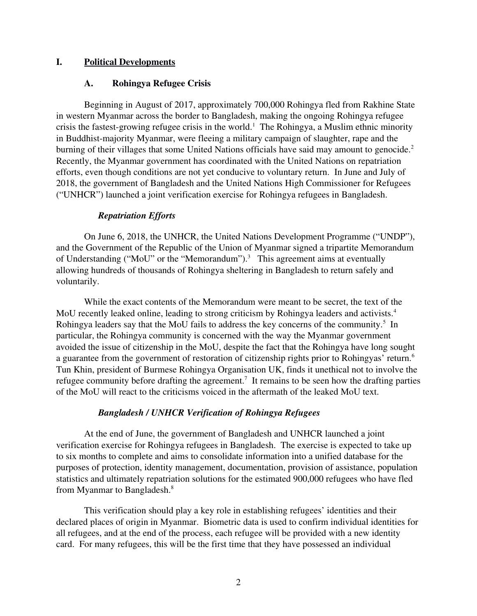# I. Political Developments

#### <span id="page-1-1"></span><span id="page-1-0"></span>A. Rohingya Refugee Crisis

Beginning in August of 2017, approximately 700,000 Rohingya fled from Rakhine State in western Myanmar across the border to Bangladesh, making the ongoing Rohingya refugee crisis the fastest-growing refugee crisis in the world.<sup>1</sup> The Rohingya, a Muslim ethnic minority in Buddhist-majority Myanmar, were fleeing a military campaign of slaughter, rape and the burning of their villages that some United Nations officials have said may amount to genocide.<sup>2</sup> Recently, the Myanmar government has coordinated with the United Nations on repatriation efforts, even though conditions are not yet conducive to voluntary return. In June and July of 2018, the government of Bangladesh and the United Nations High Commissioner for Refugees ("UNHCR") launched a joint verification exercise for Rohingya refugees in Bangladesh.

#### *Repatriation Efforts*

On June 6, 2018, the UNHCR, the United Nations Development Programme ("UNDP"), and the Government of the Republic of the Union of Myanmar signed a tripartite Memorandum of Understanding ("MoU" or the "Memorandum").<sup>3</sup> This agreement aims at eventually allowing hundreds of thousands of Rohingya sheltering in Bangladesh to return safely and voluntarily.

While the exact contents of the Memorandum were meant to be secret, the text of the MoU recently leaked online, leading to strong criticism by Rohingya leaders and activists.<sup>4</sup> Rohingya leaders say that the MoU fails to address the key concerns of the community.<sup>5</sup> In particular, the Rohingya community is concerned with the way the Myanmar government avoided the issue of citizenship in the MoU, despite the fact that the Rohingya have long sought a guarantee from the government of restoration of citizenship rights prior to Rohingyas' return.<sup>6</sup> Tun Khin, president of Burmese Rohingya Organisation UK, finds it unethical not to involve the refugee community before drafting the agreement.<sup>7</sup> It remains to be seen how the drafting parties of the MoU will react to the criticisms voiced in the aftermath of the leaked MoU text.

#### *Bangladesh / UNHCR Verification of Rohingya Refugees*

At the end of June, the government of Bangladesh and UNHCR launched a joint verification exercise for Rohingya refugees in Bangladesh. The exercise is expected to take up to six months to complete and aims to consolidate information into a unified database for the purposes of protection, identity management, documentation, provision of assistance, population statistics and ultimately repatriation solutions for the estimated 900,000 refugees who have fled from Myanmar to Bangladesh.<sup>8</sup>

This verification should play a key role in establishing refugees' identities and their declared places of origin in Myanmar. Biometric data is used to confirm individual identities for all refugees, and at the end of the process, each refugee will be provided with a new identity card. For many refugees, this will be the first time that they have possessed an individual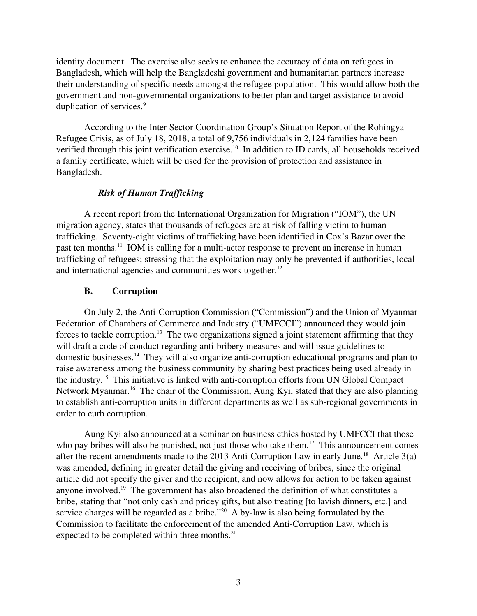identity document. The exercise also seeks to enhance the accuracy of data on refugees in Bangladesh, which will help the Bangladeshi government and humanitarian partners increase their understanding of specific needs amongst the refugee population. This would allow both the government and non-governmental organizations to better plan and target assistance to avoid duplication of services.<sup>9</sup>

According to the Inter Sector Coordination Group's Situation Report of the Rohingya Refugee Crisis, as of July 18, 2018, a total of 9,756 individuals in 2,124 families have been verified through this joint verification exercise.<sup>10</sup> In addition to ID cards, all households received a family certificate, which will be used for the provision of protection and assistance in Bangladesh.

# *Risk of Human Trafficking*

A recent report from the International Organization for Migration ("IOM"), the UN migration agency, states that thousands of refugees are at risk of falling victim to human trafficking. Seventy-eight victims of trafficking have been identified in Cox's Bazar over the past ten months.<sup>11</sup> IOM is calling for a multi-actor response to prevent an increase in human trafficking of refugees; stressing that the exploitation may only be prevented if authorities, local and international agencies and communities work together. $12$ 

# <span id="page-2-0"></span>B. Corruption

On July 2, the Anti-Corruption Commission ("Commission") and the Union of Myanmar Federation of Chambers of Commerce and Industry ("UMFCCI") announced they would join forces to tackle corruption.<sup>13</sup> The two organizations signed a joint statement affirming that they will draft a code of conduct regarding anti-bribery measures and will issue guidelines to domestic businesses.<sup>14</sup> They will also organize anti-corruption educational programs and plan to raise awareness among the business community by sharing best practices being used already in the industry.<sup>15</sup> This initiative is linked with anti-corruption efforts from UN Global Compact Network Myanmar.<sup>16</sup> The chair of the Commission, Aung Kyi, stated that they are also planning to establish anti-corruption units in different departments as well as sub-regional governments in order to curb corruption.

Aung Kyi also announced at a seminar on business ethics hosted by UMFCCI that those who pay bribes will also be punished, not just those who take them.<sup>17</sup> This announcement comes after the recent amendments made to the 2013 Anti-Corruption Law in early June.<sup>18</sup> Article  $3(a)$ was amended, defining in greater detail the giving and receiving of bribes, since the original article did not specify the giver and the recipient, and now allows for action to be taken against anyone involved.<sup>19</sup> The government has also broadened the definition of what constitutes a bribe, stating that "not only cash and pricey gifts, but also treating [to lavish dinners, etc.] and service charges will be regarded as a bribe."<sup>20</sup> A by-law is also being formulated by the Commission to facilitate the enforcement of the amended Anti-Corruption Law, which is expected to be completed within three months.<sup>21</sup>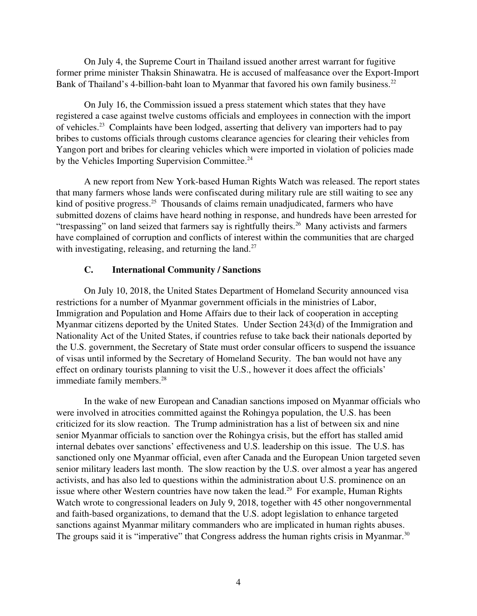On July 4, the Supreme Court in Thailand issued another arrest warrant for fugitive former prime minister Thaksin Shinawatra. He is accused of malfeasance over the Export-Import Bank of Thailand's 4-billion-baht loan to Myanmar that favored his own family business.<sup>22</sup>

On July 16, the Commission issued a press statement which states that they have registered a case against twelve customs officials and employees in connection with the import of vehicles.<sup>23</sup> Complaints have been lodged, asserting that delivery van importers had to pay bribes to customs officials through customs clearance agencies for clearing their vehicles from Yangon port and bribes for clearing vehicles which were imported in violation of policies made by the Vehicles Importing Supervision Committee.<sup>24</sup>

A new report from New York-based Human Rights Watch was released. The report states that many farmers whose lands were confiscated during military rule are still waiting to see any kind of positive progress.<sup>25</sup> Thousands of claims remain unadjudicated, farmers who have submitted dozens of claims have heard nothing in response, and hundreds have been arrested for "trespassing" on land seized that farmers say is rightfully theirs.<sup>26</sup> Many activists and farmers have complained of corruption and conflicts of interest within the communities that are charged with investigating, releasing, and returning the land.<sup>27</sup>

# <span id="page-3-0"></span>C. International Community / Sanctions

On July 10, 2018, the United States Department of Homeland Security announced visa restrictions for a number of Myanmar government officials in the ministries of Labor, Immigration and Population and Home Affairs due to their lack of cooperation in accepting Myanmar citizens deported by the United States. Under Section 243(d) of the Immigration and Nationality Act of the United States, if countries refuse to take back their nationals deported by the U.S. government, the Secretary of State must order consular officers to suspend the issuance of visas until informed by the Secretary of Homeland Security. The ban would not have any effect on ordinary tourists planning to visit the U.S., however it does affect the officials' immediate family members.<sup>28</sup>

In the wake of new European and Canadian sanctions imposed on Myanmar officials who were involved in atrocities committed against the Rohingya population, the U.S. has been criticized for its slow reaction. The Trump administration has a list of between six and nine senior Myanmar officials to sanction over the Rohingya crisis, but the effort has stalled amid internal debates over sanctions' effectiveness and U.S. leadership on this issue. The U.S. has sanctioned only one Myanmar official, even after Canada and the European Union targeted seven senior military leaders last month. The slow reaction by the U.S. over almost a year has angered activists, and has also led to questions within the administration about U.S. prominence on an issue where other Western countries have now taken the lead.<sup>29</sup> For example, Human Rights Watch wrote to congressional leaders on July 9, 2018, together with 45 other nongovernmental and faith-based organizations, to demand that the U.S. adopt legislation to enhance targeted sanctions against Myanmar military commanders who are implicated in human rights abuses. The groups said it is "imperative" that Congress address the human rights crisis in Myanmar.<sup>30</sup>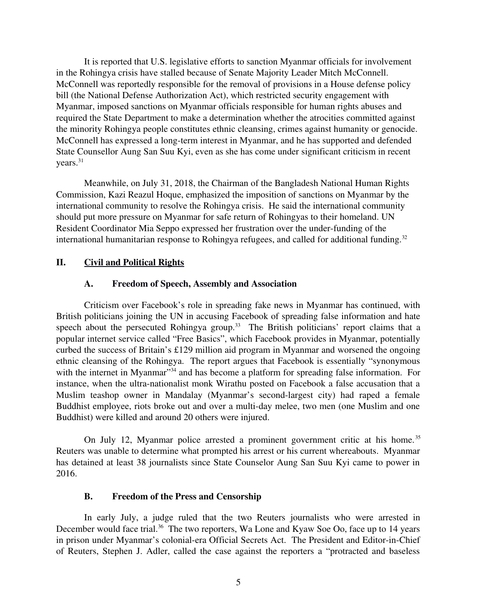It is reported that U.S. legislative efforts to sanction Myanmar officials for involvement in the Rohingya crisis have stalled because of Senate Majority Leader Mitch McConnell. McConnell was reportedly responsible for the removal of provisions in a House defense policy bill (the National Defense Authorization Act), which restricted security engagement with Myanmar, imposed sanctions on Myanmar officials responsible for human rights abuses and required the State Department to make a determination whether the atrocities committed against the minority Rohingya people constitutes ethnic cleansing, crimes against humanity or genocide. McConnell has expressed a long-term interest in Myanmar, and he has supported and defended State Counsellor Aung San Suu Kyi, even as she has come under significant criticism in recent years.<sup>31</sup>

Meanwhile, on July 31, 2018, the Chairman of the Bangladesh National Human Rights Commission, Kazi Reazul Hoque, emphasized the imposition of sanctions on Myanmar by the international community to resolve the Rohingya crisis. He said the international community should put more pressure on Myanmar for safe return of Rohingyas to their homeland. UN Resident Coordinator Mia Seppo expressed her frustration over the under-funding of the international humanitarian response to Rohingya refugees, and called for additional funding.<sup>32</sup>

# II. Civil and Political Rights

#### <span id="page-4-2"></span><span id="page-4-1"></span>A. Freedom of Speech, Assembly and Association

Criticism over Facebook's role in spreading fake news in Myanmar has continued, with British politicians joining the UN in accusing Facebook of spreading false information and hate speech about the persecuted Rohingya group.<sup>33</sup> The British politicians' report claims that a popular internet service called "Free Basics", which Facebook provides in Myanmar, potentially curbed the success of Britain's £129 million aid program in Myanmar and worsened the ongoing ethnic cleansing of the Rohingya. The report argues that Facebook is essentially "synonymous with the internet in Myanmar"<sup>34</sup> and has become a platform for spreading false information. For instance, when the ultra-nationalist monk Wirathu posted on Facebook a false accusation that a Muslim teashop owner in Mandalay (Myanmar's second-largest city) had raped a female Buddhist employee, riots broke out and over a multi-day melee, two men (one Muslim and one Buddhist) were killed and around 20 others were injured.

On July 12, Myanmar police arrested a prominent government critic at his home.<sup>35</sup> Reuters was unable to determine what prompted his arrest or his current whereabouts. Myanmar has detained at least 38 journalists since State Counselor Aung San Suu Kyi came to power in 2016.

# <span id="page-4-0"></span>B. Freedom of the Press and Censorship

In early July, a judge ruled that the two Reuters journalists who were arrested in December would face trial.<sup>36</sup> The two reporters, Wa Lone and Kyaw Soe Oo, face up to 14 years in prison under Myanmar's colonial-era Official Secrets Act. The President and Editor-in-Chief of Reuters, Stephen J. Adler, called the case against the reporters a "protracted and baseless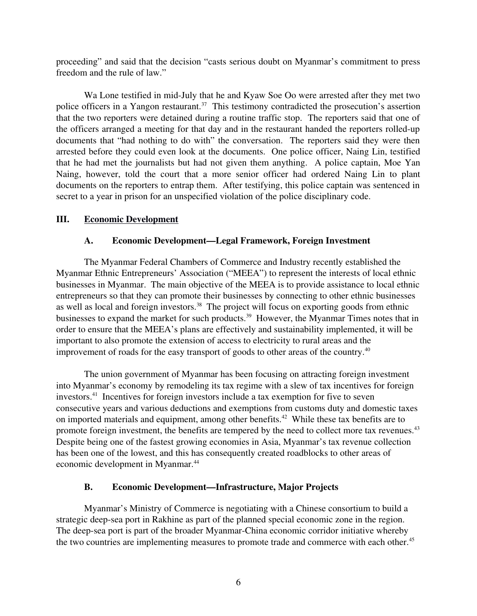proceeding" and said that the decision "casts serious doubt on Myanmar's commitment to press freedom and the rule of law."

Wa Lone testified in mid-July that he and Kyaw Soe Oo were arrested after they met two police officers in a Yangon restaurant.<sup>37</sup> This testimony contradicted the prosecution's assertion that the two reporters were detained during a routine traffic stop. The reporters said that one of the officers arranged a meeting for that day and in the restaurant handed the reporters rolled-up documents that "had nothing to do with" the conversation. The reporters said they were then arrested before they could even look at the documents. One police officer, Naing Lin, testified that he had met the journalists but had not given them anything. A police captain, Moe Yan Naing, however, told the court that a more senior officer had ordered Naing Lin to plant documents on the reporters to entrap them. After testifying, this police captain was sentenced in secret to a year in prison for an unspecified violation of the police disciplinary code.

# III. Economic Development

# <span id="page-5-2"></span><span id="page-5-1"></span>A. Economic Development—Legal Framework, Foreign Investment

The Myanmar Federal Chambers of Commerce and Industry recently established the Myanmar Ethnic Entrepreneurs' Association ("MEEA") to represent the interests of local ethnic businesses in Myanmar. The main objective of the MEEA is to provide assistance to local ethnic entrepreneurs so that they can promote their businesses by connecting to other ethnic businesses as well as local and foreign investors.<sup>38</sup> The project will focus on exporting goods from ethnic businesses to expand the market for such products.<sup>39</sup> However, the Myanmar Times notes that in order to ensure that the MEEA's plans are effectively and sustainability implemented, it will be important to also promote the extension of access to electricity to rural areas and the improvement of roads for the easy transport of goods to other areas of the country.<sup>40</sup>

The union government of Myanmar has been focusing on attracting foreign investment into Myanmar's economy by remodeling its tax regime with a slew of tax incentives for foreign investors.<sup>41</sup> Incentives for foreign investors include a tax exemption for five to seven consecutive years and various deductions and exemptions from customs duty and domestic taxes on imported materials and equipment, among other benefits.<sup>42</sup> While these tax benefits are to promote foreign investment, the benefits are tempered by the need to collect more tax revenues.<sup>43</sup> Despite being one of the fastest growing economies in Asia, Myanmar's tax revenue collection has been one of the lowest, and this has consequently created roadblocks to other areas of economic development in Myanmar.<sup>44</sup>

# <span id="page-5-0"></span>B. Economic Development—Infrastructure, Major Projects

Myanmar's Ministry of Commerce is negotiating with a Chinese consortium to build a strategic deep-sea port in Rakhine as part of the planned special economic zone in the region. The deep-sea port is part of the broader Myanmar-China economic corridor initiative whereby the two countries are implementing measures to promote trade and commerce with each other.<sup>45</sup>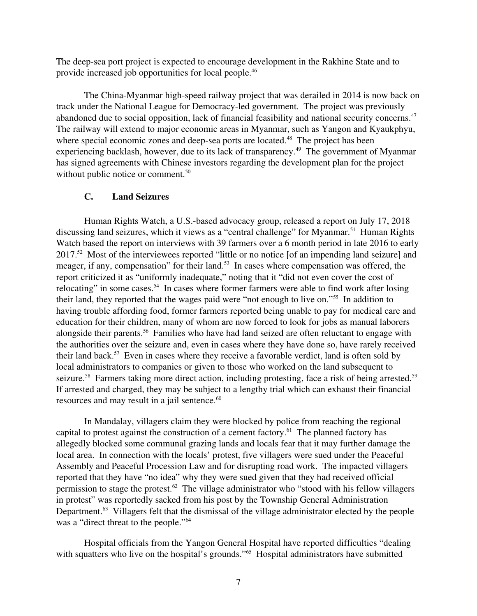The deep-sea port project is expected to encourage development in the Rakhine State and to provide increased job opportunities for local people.<sup>46</sup>

The China-Myanmar high-speed railway project that was derailed in 2014 is now back on track under the National League for Democracy-led government. The project was previously abandoned due to social opposition, lack of financial feasibility and national security concerns.<sup>47</sup> The railway will extend to major economic areas in Myanmar, such as Yangon and Kyaukphyu, where special economic zones and deep-sea ports are located.<sup>48</sup> The project has been experiencing backlash, however, due to its lack of transparency.<sup>49</sup> The government of Myanmar has signed agreements with Chinese investors regarding the development plan for the project without public notice or comment.<sup>50</sup>

# C. Land Seizures

Human Rights Watch, a U.S.-based advocacy group, released a report on July 17, 2018 discussing land seizures, which it views as a "central challenge" for Myanmar.<sup>51</sup> Human Rights Watch based the report on interviews with 39 farmers over a 6 month period in late 2016 to early 2017.<sup>52</sup> Most of the interviewees reported "little or no notice [of an impending land seizure] and meager, if any, compensation" for their land.<sup>53</sup> In cases where compensation was offered, the report criticized it as "uniformly inadequate," noting that it "did not even cover the cost of relocating" in some cases.<sup>54</sup> In cases where former farmers were able to find work after losing their land, they reported that the wages paid were "not enough to live on."<sup>55</sup> In addition to having trouble affording food, former farmers reported being unable to pay for medical care and education for their children, many of whom are now forced to look for jobs as manual laborers alongside their parents.<sup>56</sup> Families who have had land seized are often reluctant to engage with the authorities over the seizure and, even in cases where they have done so, have rarely received their land back.<sup>57</sup> Even in cases where they receive a favorable verdict, land is often sold by local administrators to companies or given to those who worked on the land subsequent to seizure.<sup>58</sup> Farmers taking more direct action, including protesting, face a risk of being arrested.<sup>59</sup> If arrested and charged, they may be subject to a lengthy trial which can exhaust their financial resources and may result in a jail sentence.<sup>60</sup>

In Mandalay, villagers claim they were blocked by police from reaching the regional capital to protest against the construction of a cement factory.<sup>61</sup> The planned factory has allegedly blocked some communal grazing lands and locals fear that it may further damage the local area. In connection with the locals' protest, five villagers were sued under the Peaceful Assembly and Peaceful Procession Law and for disrupting road work. The impacted villagers reported that they have "no idea" why they were sued given that they had received official permission to stage the protest.<sup>62</sup> The village administrator who "stood with his fellow villagers" in protest" was reportedly sacked from his post by the Township General Administration Department.<sup>63</sup> Villagers felt that the dismissal of the village administrator elected by the people was a "direct threat to the people."<sup>64</sup>

Hospital officials from the Yangon General Hospital have reported difficulties "dealing with squatters who live on the hospital's grounds."<sup>65</sup> Hospital administrators have submitted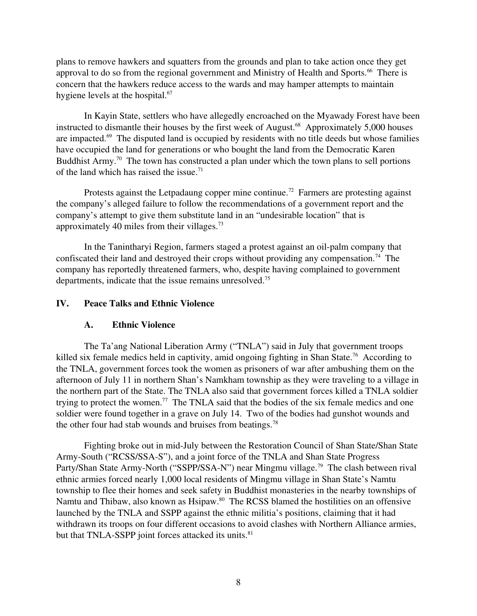plans to remove hawkers and squatters from the grounds and plan to take action once they get approval to do so from the regional government and Ministry of Health and Sports.<sup>66</sup> There is concern that the hawkers reduce access to the wards and may hamper attempts to maintain hygiene levels at the hospital.<sup>67</sup>

In Kayin State, settlers who have allegedly encroached on the Myawady Forest have been instructed to dismantle their houses by the first week of August. $68$  Approximately 5,000 houses are impacted.<sup>69</sup> The disputed land is occupied by residents with no title deeds but whose families have occupied the land for generations or who bought the land from the Democratic Karen Buddhist Army.<sup>70</sup> The town has constructed a plan under which the town plans to sell portions of the land which has raised the issue.<sup>71</sup>

Protests against the Letpadaung copper mine continue.<sup>72</sup> Farmers are protesting against the company's alleged failure to follow the recommendations of a government report and the company's attempt to give them substitute land in an "undesirable location" that is approximately 40 miles from their villages. $73$ 

In the Tanintharyi Region, farmers staged a protest against an oil-palm company that confiscated their land and destroyed their crops without providing any compensation.<sup>74</sup> The company has reportedly threatened farmers, who, despite having complained to government departments, indicate that the issue remains unresolved.<sup>75</sup>

# IV. Peace Talks and Ethnic Violence

#### <span id="page-7-1"></span><span id="page-7-0"></span>A. Ethnic Violence

The Ta'ang National Liberation Army ("TNLA") said in July that government troops killed six female medics held in captivity, amid ongoing fighting in Shan State.<sup>76</sup> According to the TNLA, government forces took the women as prisoners of war after ambushing them on the afternoon of July 11 in northern Shan's Namkham township as they were traveling to a village in the northern part of the State. The TNLA also said that government forces killed a TNLA soldier trying to protect the women.<sup>77</sup> The TNLA said that the bodies of the six female medics and one soldier were found together in a grave on July 14. Two of the bodies had gunshot wounds and the other four had stab wounds and bruises from beatings.<sup>78</sup>

Fighting broke out in mid-July between the Restoration Council of Shan State/Shan State Army-South ("RCSS/SSA-S"), and a joint force of the TNLA and Shan State Progress Party/Shan State Army-North ("SSPP/SSA-N") near Mingmu village.<sup>79</sup> The clash between rival ethnic armies forced nearly 1,000 local residents of Mingmu village in Shan State's Namtu township to flee their homes and seek safety in Buddhist monasteries in the nearby townships of Namtu and Thibaw, also known as Hsipaw.<sup>80</sup> The RCSS blamed the hostilities on an offensive launched by the TNLA and SSPP against the ethnic militia's positions, claiming that it had withdrawn its troops on four different occasions to avoid clashes with Northern Alliance armies, but that TNLA-SSPP joint forces attacked its units.<sup>81</sup>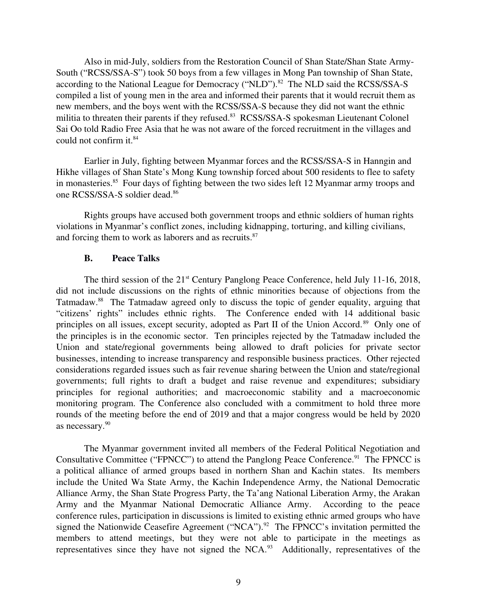Also in mid-July, soldiers from the Restoration Council of Shan State/Shan State Army-South ("RCSS/SSA-S") took 50 boys from a few villages in Mong Pan township of Shan State, according to the National League for Democracy ("NLD"). $82$  The NLD said the RCSS/SSA-S compiled a list of young men in the area and informed their parents that it would recruit them as new members, and the boys went with the RCSS/SSA-S because they did not want the ethnic militia to threaten their parents if they refused.<sup>83</sup> RCSS/SSA-S spokesman Lieutenant Colonel Sai Oo told Radio Free Asia that he was not aware of the forced recruitment in the villages and could not confirm it.<sup>84</sup>

Earlier in July, fighting between Myanmar forces and the RCSS/SSA-S in Hanngin and Hikhe villages of Shan State's Mong Kung township forced about 500 residents to flee to safety in monasteries.<sup>85</sup> Four days of fighting between the two sides left 12 Myanmar army troops and one RCSS/SSA-S soldier dead.<sup>86</sup>

Rights groups have accused both government troops and ethnic soldiers of human rights violations in Myanmar's conflict zones, including kidnapping, torturing, and killing civilians, and forcing them to work as laborers and as recruits.<sup>87</sup>

#### <span id="page-8-0"></span>B. Peace Talks

The third session of the  $21<sup>st</sup>$  Century Panglong Peace Conference, held July 11-16, 2018, did not include discussions on the rights of ethnic minorities because of objections from the Tatmadaw.<sup>88</sup> The Tatmadaw agreed only to discuss the topic of gender equality, arguing that "citizens' rights" includes ethnic rights. The Conference ended with 14 additional basic principles on all issues, except security, adopted as Part II of the Union Accord.<sup>89</sup> Only one of the principles is in the economic sector. Ten principles rejected by the Tatmadaw included the Union and state/regional governments being allowed to draft policies for private sector businesses, intending to increase transparency and responsible business practices. Other rejected considerations regarded issues such as fair revenue sharing between the Union and state/regional governments; full rights to draft a budget and raise revenue and expenditures; subsidiary principles for regional authorities; and macroeconomic stability and a macroeconomic monitoring program. The Conference also concluded with a commitment to hold three more rounds of the meeting before the end of 2019 and that a major congress would be held by 2020 as necessary.<sup>90</sup>

The Myanmar government invited all members of the Federal Political Negotiation and Consultative Committee ("FPNCC") to attend the Panglong Peace Conference.<sup>91</sup> The FPNCC is a political alliance of armed groups based in northern Shan and Kachin states. Its members include the United Wa State Army, the Kachin Independence Army, the National Democratic Alliance Army, the Shan State Progress Party, the Ta'ang National Liberation Army, the Arakan Army and the Myanmar National Democratic Alliance Army. According to the peace conference rules, participation in discussions is limited to existing ethnic armed groups who have signed the Nationwide Ceasefire Agreement ("NCA").<sup>92</sup> The FPNCC's invitation permitted the members to attend meetings, but they were not able to participate in the meetings as representatives since they have not signed the NCA.<sup>93</sup> Additionally, representatives of the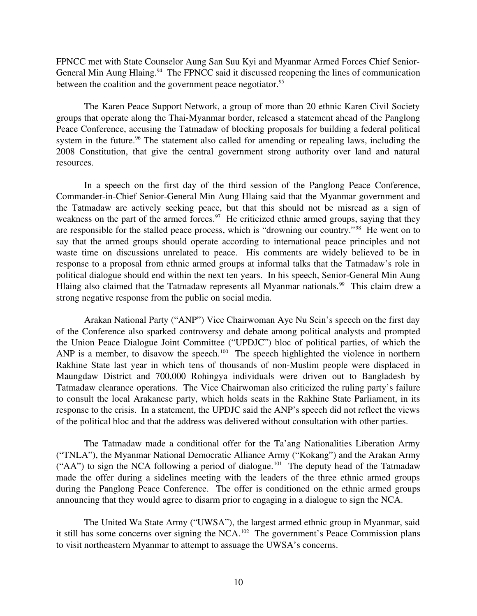FPNCC met with State Counselor Aung San Suu Kyi and Myanmar Armed Forces Chief Senior-General Min Aung Hlaing.<sup>94</sup> The FPNCC said it discussed reopening the lines of communication between the coalition and the government peace negotiator.<sup>95</sup>

The Karen Peace Support Network, a group of more than 20 ethnic Karen Civil Society groups that operate along the Thai-Myanmar border, released a statement ahead of the Panglong Peace Conference, accusing the Tatmadaw of blocking proposals for building a federal political system in the future.<sup>96</sup> The statement also called for amending or repealing laws, including the 2008 Constitution, that give the central government strong authority over land and natural resources.

In a speech on the first day of the third session of the Panglong Peace Conference, Commander-in-Chief Senior-General Min Aung Hlaing said that the Myanmar government and the Tatmadaw are actively seeking peace, but that this should not be misread as a sign of weakness on the part of the armed forces.<sup>97</sup> He criticized ethnic armed groups, saying that they are responsible for the stalled peace process, which is "drowning our country."<sup>98</sup> He went on to say that the armed groups should operate according to international peace principles and not waste time on discussions unrelated to peace. His comments are widely believed to be in response to a proposal from ethnic armed groups at informal talks that the Tatmadaw's role in political dialogue should end within the next ten years. In his speech, Senior-General Min Aung Hlaing also claimed that the Tatmadaw represents all Myanmar nationals.<sup>99</sup> This claim drew a strong negative response from the public on social media.

Arakan National Party ("ANP") Vice Chairwoman Aye Nu Sein's speech on the first day of the Conference also sparked controversy and debate among political analysts and prompted the Union Peace Dialogue Joint Committee ("UPDJC") bloc of political parties, of which the ANP is a member, to disavow the speech.<sup>100</sup> The speech highlighted the violence in northern Rakhine State last year in which tens of thousands of non-Muslim people were displaced in Maungdaw District and 700,000 Rohingya individuals were driven out to Bangladesh by Tatmadaw clearance operations. The Vice Chairwoman also criticized the ruling party's failure to consult the local Arakanese party, which holds seats in the Rakhine State Parliament, in its response to the crisis. In a statement, the UPDJC said the ANP's speech did not reflect the views of the political bloc and that the address was delivered without consultation with other parties.

The Tatmadaw made a conditional offer for the Ta'ang Nationalities Liberation Army ("TNLA"), the Myanmar National Democratic Alliance Army ("Kokang") and the Arakan Army ("AA") to sign the NCA following a period of dialogue.<sup>101</sup> The deputy head of the Tatmadaw made the offer during a sidelines meeting with the leaders of the three ethnic armed groups during the Panglong Peace Conference. The offer is conditioned on the ethnic armed groups announcing that they would agree to disarm prior to engaging in a dialogue to sign the NCA.

The United Wa State Army ("UWSA"), the largest armed ethnic group in Myanmar, said it still has some concerns over signing the NCA.<sup>102</sup> The government's Peace Commission plans to visit northeastern Myanmar to attempt to assuage the UWSA's concerns.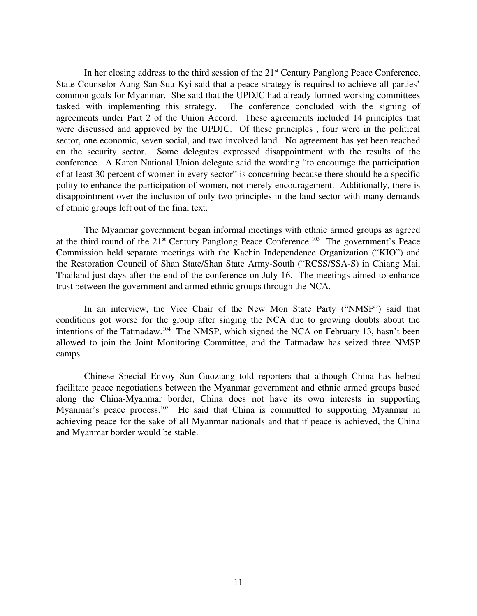In her closing address to the third session of the 21<sup>st</sup> Century Panglong Peace Conference, State Counselor Aung San Suu Kyi said that a peace strategy is required to achieve all parties' common goals for Myanmar. She said that the UPDJC had already formed working committees tasked with implementing this strategy. The conference concluded with the signing of agreements under Part 2 of the Union Accord. These agreements included 14 principles that were discussed and approved by the UPDJC. Of these principles , four were in the political sector, one economic, seven social, and two involved land. No agreement has yet been reached on the security sector. Some delegates expressed disappointment with the results of the conference. A Karen National Union delegate said the wording "to encourage the participation of at least 30 percent of women in every sector" is concerning because there should be a specific polity to enhance the participation of women, not merely encouragement. Additionally, there is disappointment over the inclusion of only two principles in the land sector with many demands of ethnic groups left out of the final text.

The Myanmar government began informal meetings with ethnic armed groups as agreed at the third round of the  $21<sup>st</sup>$  Century Panglong Peace Conference.<sup>103</sup> The government's Peace Commission held separate meetings with the Kachin Independence Organization ("KIO") and the Restoration Council of Shan State/Shan State Army-South ("RCSS/SSA-S) in Chiang Mai, Thailand just days after the end of the conference on July 16. The meetings aimed to enhance trust between the government and armed ethnic groups through the NCA.

In an interview, the Vice Chair of the New Mon State Party ("NMSP") said that conditions got worse for the group after singing the NCA due to growing doubts about the intentions of the Tatmadaw.<sup>104</sup> The NMSP, which signed the NCA on February 13, hasn't been allowed to join the Joint Monitoring Committee, and the Tatmadaw has seized three NMSP camps.

Chinese Special Envoy Sun Guoziang told reporters that although China has helped facilitate peace negotiations between the Myanmar government and ethnic armed groups based along the China-Myanmar border, China does not have its own interests in supporting Myanmar's peace process.<sup>105</sup> He said that China is committed to supporting Myanmar in achieving peace for the sake of all Myanmar nationals and that if peace is achieved, the China and Myanmar border would be stable.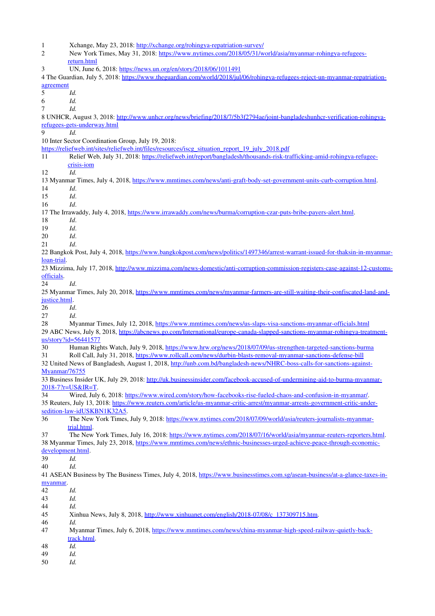1 Xchange, May 23, 2018: http://xchange.org/rohingya-repatriation-survey/ 2 New York Times, May 31, 2018: https://www.nytimes.com/2018/05/31/world/asia/myanmar-rohingya-refugees[return.html](https://www.nytimes.com/2018/05/31/world/asia/myanmar-rohingya-refugees-return.html) 3 UN, June 6, 2018:<https://news.un.org/en/story/2018/06/1011491> 4 The Guardian, July 5, 2018: https://www.theguardian.com/world/2018/jul/06/rohingya-refugees-reject-un-myanmar-repatriation[agreement](https://www.theguardian.com/world/2018/jul/06/rohingya-refugees-reject-un-myanmar-repatriation-agreement) 5 *Id.* 6 *Id.* 7 *Id.* 8 UNHCR, August 3, 2018: http://www.unhcr.org/news/briefing/2018/7/5b3f2794ae/joint-bangladeshunhcr-verification-rohingyarefugees-gets-underway.html 9 *Id.* 10 Inter Sector Coordination Group, July 19, 2018: [https://reliefweb.int/sites/reliefweb.int/files/resources/iscg\\_situation\\_report\\_19\\_july\\_2018.pdf](https://reliefweb.int/sites/reliefweb.int/files/resources/iscg_situation_report_19_july_2018.pdf) 11 Relief Web, July 31, 2018: https://reliefweb.int/report/bangladesh/thousands-risk-trafficking-amid-rohingya-refugeecrisis-iom 12 *Id.* 13 Myanmar Times, July 4, 2018, https://www.mmtimes.com/news/anti-graft-body-set-government-units-curb-corruption.html. 14 *Id*. 15 *Id*. 16 *Id*. 17 The Irrawaddy, July 4, 2018, https://www.irrawaddy.com/news/burma/corruption-czar-puts-bribe-payers-alert.html. 18 *Id*. 19 *Id*. 20 *Id*. 21 *Id*. 22 Bangkok Post, July 4, 2018, https://www.bangkokpost.com/news/politics/1497346/arrest-warrant-issued-for-thaksin-in-myanmarloan-trial. 23 Mizzima, July 17, 2018, http://www.mizzima.com/news-domestic/anti-corruption-commission-registers-case-against-12-customs[officials.](http://www.mizzima.com/news-domestic/anti-corruption-commission-registers-case-against-12-customs-officials) 24 *Id*. 25 Myanmar Times, July 20, 2018, https://www.mmtimes.com/news/myanmar-farmers-are-still-waiting-their-confiscated-land-and[justice.html.](https://www.mmtimes.com/news/myanmar-farmers-are-still-waiting-their-confiscated-land-and-justice.html) 26 *Id*. 27 *Id*. 28 Myanmar Times, July 12, 2018, https://www.mmtimes.com/news/us-slaps-visa-sanctions-myanmar-officials.html 29 ABC News, July 8, 2018, https://abcnews.go.com/International/europe-canada-slapped-sanctions-myanmar-rohingya-treatment[us/story?id=56441577](https://abcnews.go.com/International/europe-canada-slapped-sanctions-myanmar-rohingya-treatment-us/story?id=56441577) 30 Human Rights Watch, July 9, 2018, https://www.hrw.org/news/2018/07/09/us-strengthen-targeted-sanctions-burma 31 Roll Call, July 31, 2018, https://www.rollcall.com/news/durbin-blasts-removal-myanmar-sanctions-defense-bill 32 United News of Bangladesh, August 1, 2018, http://unb.com.bd/bangladesh-news/NHRC-boss-calls-for-sanctions-against-[Myanmar/76755](http://unb.com.bd/bangladesh-news/NHRC-boss-calls-for-sanctions-against-Myanmar/76755) 33 Business Insider UK, July 29, 2018: http://uk.businessinsider.com/facebook-accused-of-undermining-aid-to-burma-myanmar-2018-7?r=US&IR=T. 34 Wired, July 6, 2018: https://www.wired.com/story/how-facebooks-rise-fueled-chaos-and-confusion-in-myanmar/. 35 Reuters, July 13, 2018: https://www.reuters.com/article/us-myanmar-critic-arrest/myanmar-arrests-government-critic-undersedition-law-idUSKBN1K32A5. 36 The New York Times, July 9, 2018: https://www.nytimes.com/2018/07/09/world/asia/reuters-journalists-myanmar[trial.html.](https://www.nytimes.com/2018/07/09/world/asia/reuters-journalists-myanmar-trial.html) 37 The New York Times, July 16, 2018: https://www.nytimes.com/2018/07/16/world/asia/myanmar-reuters-reporters.html. 38 Myanmar Times, July 23, 2018, https://www.mmtimes.com/news/ethnic-businesses-urged-achieve-peace-through-economic[development.html.](https://www.mmtimes.com/news/ethnic-businesses-urged-achieve-peace-through-economic-development.html) 39 *Id.* 40 *Id.* 41 ASEAN Business by The Business Times, July 4, 2018, https://www.businesstimes.com.sg/asean-business/at-a-glance-taxes-in[myanmar.](https://www.businesstimes.com.sg/asean-business/at-a-glance-taxes-in-myanmar) 42 *Id.* 43 *Id.* 44 *Id.* 45 Xinhua News, July 8, 2018, http://www.xinhuanet.com/english/2018-07/08/c\_137309715.htm. 46 *Id.* 47 Myanmar Times, July 6, 2018, https://www.mmtimes.com/news/china-myanmar-high-speed-railway-quietly-back[track.html.](https://www.mmtimes.com/news/china-myanmar-high-speed-railway-quietly-back-track.html) 48 *Id.* 49 *Id.* 50 *Id.*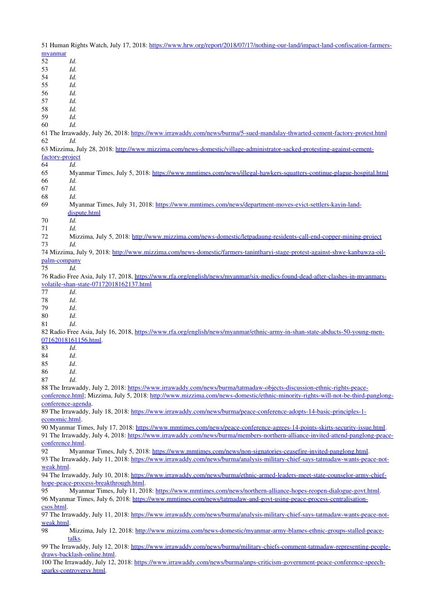51 Human Rights Watch, July 17, 2018: https://www.hrw.org/report/2018/07/17/nothing-our-land/impact-land-confiscation-farmers[myanmar](https://www.hrw.org/report/2018/07/17/nothing-our-land/impact-land-confiscation-farmers-myanmar) 52 *Id.* 53 *Id.* 54 *Id.* 55 *Id.* 56 *Id.* 57 *Id.* 58 *Id.* 59 *Id.* 60 *Id.* 61 The Irrawaddy, July 26, 2018: https://www.irrawaddy.com/news/burma/5-sued-mandalay-thwarted-cement-factory-protest.html 62 *Id.* 63 Mizzima, July 28, 2018: http://www.mizzima.com/news-domestic/village-administrator-sacked-protesting-against-cementfactory-project 64 *Id.* 65 Myanmar Times, July 5, 2018: https://www.mmtimes.com/news/illegal-hawkers-squatters-continue-plague-hospital.html 66 *Id.* 67 *Id.* 68 *Id.* 69 Myanmar Times, July 31, 2018: https://www.mmtimes.com/news/department-moves-evict-settlers-kayin-land[dispute.html](https://www.mmtimes.com/news/department-moves-evict-settlers-kayin-land-dispute.html) 70 *Id.* 71 *Id.* 72 Mizzima, July 5, 2018: http://www.mizzima.com/news-domestic/letpadaung-residents-call-end-copper-mining-project 73 *Id.* 74 Mizzima, July 9, 2018: http://www.mizzima.com/news-domestic/farmers-tanintharyi-stage-protest-against-shwe-kanbawza-oilpalm-company 75 *Id.* 76 Radio Free Asia, July 17, 2018, https://www.rfa.org/english/news/myanmar/six-medics-found-dead-after-clashes-in-myanmarsvolatile-shan-state-07172018162137.html 77 *Id*. 78 *Id*. 79  *Id*. 80 *Id*. 81 *Id*. 82 Radio Free Asia, July 16, 2018, https://www.rfa.org/english/news/myanmar/ethnic-army-in-shan-state-abducts-50-young-men-[07162018161156.html.](https://www.rfa.org/english/news/myanmar/ethnic-army-in-shan-state-abducts-50-young-men-07162018161156.html) 83 *Id*. 84 *Id*. 85  *Id*. 86 *Id*. 87 *Id*. 88 The Irrawaddy, July 2, 2018: https://www.irrawaddy.com/news/burma/tatmadaw-objects-discussion-ethnic-rights-peace[conference.html;](https://www.irrawaddy.com/news/burma/tatmadaw-objects-discussion-ethnic-rights-peace-conference.html) Mizzima, July 5, 2018: http://www.mizzima.com/news-domestic/ethnic-minority-rights-will-not-be-third-panglongconference-agenda. 89 The Irrawaddy, July 18, 2018: https://www.irrawaddy.com/news/burma/peace-conference-adopts-14-basic-principles-1[economic.html.](https://www.irrawaddy.com/news/burma/peace-conference-adopts-14-basic-principles-1-economic.html)

90 Myanmar Times, July 17, 2018: https://www.mmtimes.com/news/peace-conference-agrees-14-points-skirts-security-issue.html. 91 The Irrawaddy, July 4, 2018: https://www.irrawaddy.com/news/burma/members-northern-alliance-invited-attend-panglong-peace[conference.html.](https://www.irrawaddy.com/news/burma/members-northern-alliance-invited-attend-panglong-peace-conference.html)

92 Myanmar Times, July 5, 2018: https://www.mmtimes.com/news/non-signatories-ceasefire-invited-panglong.html. 93 The Irrawaddy, July 11, 2018: https://www.irrawaddy.com/news/burma/analysis-military-chief-says-tatmadaw-wants-peace-not-

[weak.html.](https://www.irrawaddy.com/news/burma/analysis-military-chief-says-tatmadaw-wants-peace-not-weak.html)

94 The Irrawaddy, July 10, 2018: https://www.irrawaddy.com/news/burma/ethnic-armed-leaders-meet-state-counselor-army-chiefhope-peace-process-breakthrough.html.

95 Myanmar Times, July 11, 2018: https://www.mmtimes.com/news/northern-alliance-hopes-reopen-dialogue-govt.html. 96 Myanmar Times, July 6, 2018: https://www.mmtimes.com/news/tatmadaw-and-govt-using-peace-process-centralisation[csos.html.](https://www.mmtimes.com/news/tatmadaw-and-govt-using-peace-process-centralisation-csos.html)

97 The Irrawaddy, July 11, 2018: https://www.irrawaddy.com/news/burma/analysis-military-chief-says-tatmadaw-wants-peace-not[weak.html.](https://www.irrawaddy.com/news/burma/analysis-military-chief-says-tatmadaw-wants-peace-not-weak.html)

98 Mizzima, July 12, 2018: http://www.mizzima.com/news-domestic/myanmar-army-blames-ethnic-groups-stalled-peace[talks.](http://www.mizzima.com/news-domestic/myanmar-army-blames-ethnic-groups-stalled-peace-talks)

99 The Irrawaddy, July 12, 2018: https://www.irrawaddy.com/news/burma/military-chiefs-comment-tatmadaw-representing-peopledraws-backlash-online.html.

100 The Irrawaddy, July 12, 2018: https://www.irrawaddy.com/news/burma/anps-criticism-government-peace-conference-speechsparks-controversy.html.